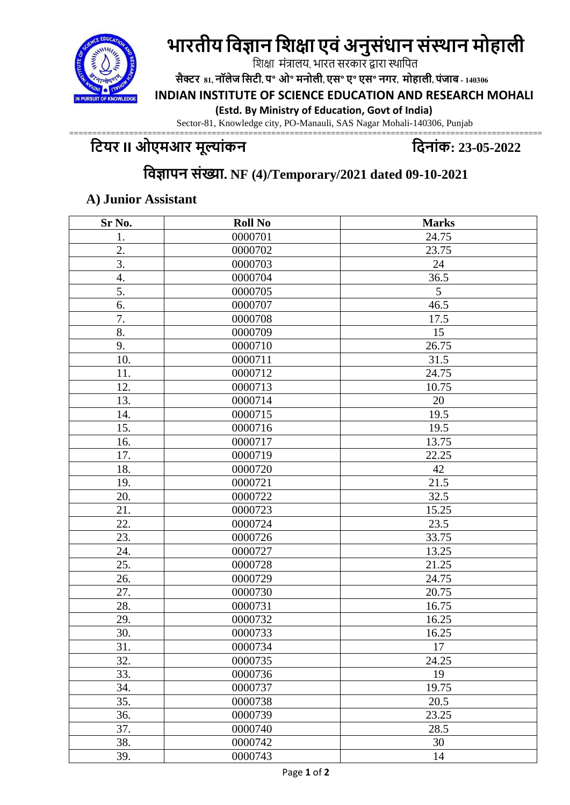# **भारतीय विज्ञान विक्षा एिंअनुसंधान संस्थान मोहाली**



**सैक्टर 81, नॉलेज वसटी, प॰ ओ॰ मनोली, एस॰ ए॰ एस॰ नगर, मोहाली, पंजाब - 140306**

**INDIAN INSTITUTE OF SCIENCE EDUCATION AND RESEARCH MOHALI** 

 **(Estd. By Ministry of Education, Govt of India)** 

Sector-81, Knowledge city, PO-Manauli, SAS Nagar Mohali-140306, Punjab

#### ======================================================================================================= **टियर II ओएमआर मूल्यांकन टिनयांक: 23-05-2022**

# **टिज्ञयपन सांख्यय. NF (4)/Temporary/2021 dated 09-10-2021**

#### **A) Junior Assistant**

| Sr No.           | <b>Roll No</b> | <b>Marks</b> |
|------------------|----------------|--------------|
| 1.               | 0000701        | 24.75        |
| $\overline{2}$ . | 0000702        | 23.75        |
| 3.               | 0000703        | 24           |
| 4.               | 0000704        | 36.5         |
| 5.               | 0000705        | 5            |
| 6.               | 0000707        | 46.5         |
| 7.               | 0000708        | 17.5         |
| 8.               | 0000709        | 15           |
| 9.               | 0000710        | 26.75        |
| 10.              | 0000711        | 31.5         |
| 11.              | 0000712        | 24.75        |
| 12.              | 0000713        | 10.75        |
| 13.              | 0000714        | 20           |
| 14.              | 0000715        | 19.5         |
| 15.              | 0000716        | 19.5         |
| 16.              | 0000717        | 13.75        |
| 17.              | 0000719        | 22.25        |
| 18.              | 0000720        | 42           |
| 19.              | 0000721        | 21.5         |
| 20.              | 0000722        | 32.5         |
| 21.              | 0000723        | 15.25        |
| 22.              | 0000724        | 23.5         |
| 23.              | 0000726        | 33.75        |
| 24.              | 0000727        | 13.25        |
| 25.              | 0000728        | 21.25        |
| 26.              | 0000729        | 24.75        |
| 27.              | 0000730        | 20.75        |
| 28.              | 0000731        | 16.75        |
| 29.              | 0000732        | 16.25        |
| 30.              | 0000733        | 16.25        |
| 31.              | 0000734        | $17\,$       |
| 32.              | 0000735        | 24.25        |
| 33.              | 0000736        | 19           |
| 34.              | 0000737        | 19.75        |
| 35.              | 0000738        | 20.5         |
| 36.              | 0000739        | 23.25        |
| 37.              | 0000740        | 28.5         |
| 38.              | 0000742        | 30           |
| 39.              | 0000743        | 14           |